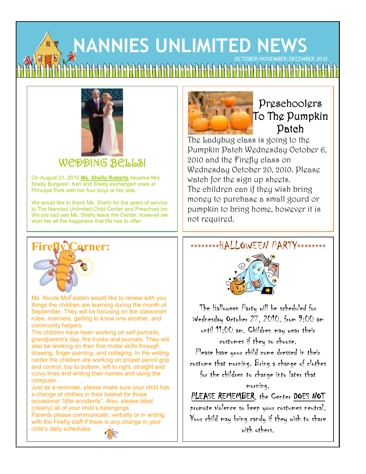# **NANNIES UNLIMITED NEWS NLETTER** *OCTOBER/NOVEMBER/DECEMBER 2010*



### WEDDING BELLS!

On August 21, 2010 **Ms. Shelly Roberts** became Mrs. Shelly Burgess! Ken and Shelly exchanged vows at Principal Park with her four boys at her side.

We would like to thank Ms. Shelly for the years of service to The Nannies Unlimited Child Center and Preschool Inc. We are sad see Ms. Shelly leave the Center, however we wish her all the happiness that life has to offer.



### Preschoolers To The Pumpkin Patch

The Ladybug class is going to the Pumpkin Patch Wednesday October 6, 2010 and the Firefly class on Wednesday October 20, 2010. Please watch for the sign up sheets. The children can if they wish bring money to purchase a small gourd or pumpkin to bring home, however it is not required.

### \*\*\*\*\*\*\*\*HALLOWEEN PARTY\*\*\*\*\*\*\*\*



Ms. Nicole McFadden would like to review with you things the children are learning during the month of September. They will be focusing on the classroom rules, manners, getting to know one another, and community helpers.

The children have been working on self portraits, grandparent's day, fire trucks and journals. They will also be working on their fine motor skills through drawing, finger painting, and collaging. In the writing center the children are working on proper pencil grip and control, top to bottom, left to right, straight and curvy lines and writing their names and using the computer.

Just as a reminder, please make sure your child has a change of clothes in their basket for those occasional "little accidents". Also, please label (clearly) all of your child's belongings. Parents please communicate, verbally or in writing

with the Firefly staff if there is any change in your child's daily schedules.





The Halloween Party will be scheduled for Wednesday October 27, 2010. from 9:00 am until 11:00 am. Children may wear their costumes if they so choose. Please have your child come dressed in their costume that morning. Bring a change of clothes for the children to change into later that morning.

PLEASE REMEMBER, the Center DOES NOT

promote violence so keep your costumes neutral. Your child may bring candy if they wish to share with others.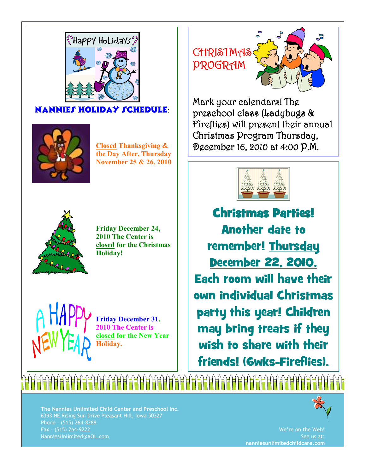

#### NANNIES HOLIDAY SCHEDULE



**Closed Thanksgiving & the Day After, Thursday November 25 & 26, 2010** 



**Friday December 24, 2010 The Center is closed for the Christmas Holiday!** 

**Friday December 31, 2010 The Center is closed for the New Year Holiday.** 

▕▜▕▜▏▏▊▕▊▐▋▐▋▐▋▐▋▏

# P<br>P **CHRISTMAS** PROGRAM

Mark your calendars! The preschool class (Ladybugs & Fireflies) will present their annual Christmas Program Thursday, December 16, 2010 at 4:00 P.M. 16, 4:00 P.M.



Christmas Parties! Christmas Another date to remember! Thursday December 22, 2010. Each room will have their own individual Christmas party this year! Children may bring treats if they wish to share with their friends! (6wks-Fireflies).

**The Nannies Unlimited Child Center and Preschool Inc.** 6393 NE Rising Sun Drive Pleasant Hill, Iowa 50327 Phone – (515) 264-8288 Fax – (515) 264-9222 NanniesUnlimited@AOL.com



We're on the Web! See us at: **nanniesunlimitedchildcare.com**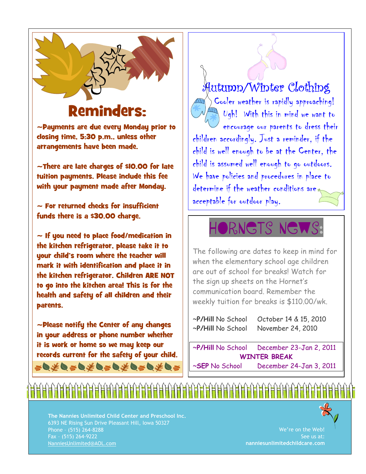

## Reminders:

~Payments are due every Monday prior to closing time, 5:30 p.m., unless other arrangements have been made.

~There are late charges of \$10.00 for late tuition payments. Please include this fee with your payment made after Monday.

 $\sim$  For returned checks for insufficient funds there is a \$30.00 charge.

 $\sim$  If you need to place food/medication in the kitchen refrigerator, please take it to your child's room where the teacher will mark it with identification and place it in the kitchen refrigerator. Children ARE NOT to go into the kitchen area! This is for the health and safety of all children and their parents.

~Please notify the Center of any changes in your address or phone number whether it is work or home so we may keep our records current for the safety of your child. **≈Q≠Q≠Q≠Q≈Q≠Q≈Q≠Q≈** 

Autumn/Winter Clothing Cooler weather is rapidly approaching!  $\Box\hspace{-.15cm}1$   $U$ gh! With this in mind we want to encourage our parents to dress their children accordingly. Just a reminder, if the child is well enough to be at the Center, the child is assumed well enough to go outdoors. We have policies and procedures in place to determine if the weather conditions are acceptable for outdoor play.

Q

 $\Delta$ 

# **ORNETS NEW**

The following are dates to keep in mind for when the elementary school age children are out of school for breaks! Watch for the sign up sheets on the Hornet's communication board. Remember the weekly tuition for breaks is \$110.00/wk.

~**P/Hill** No School October 14 & 15, 2010 ~**P/Hill** No School November 24, 2010

~**P/Hill** No School December 23-Jan 2, 2011 **WINTER BREAK**  ~**SEP** No School December 24-Jan 3, 2011

**The Nannies Unlimited Child Center and Preschool Inc.** 6393 NE Rising Sun Drive Pleasant Hill, Iowa 50327 Phone – (515) 264-8288 Fax – (515) 264-9222 NanniesUnlimited@AOL.com

<u>HHHHHHHHHHHHHHHHHHHHHH</u>



We're on the Web! See us at: **nanniesunlimitedchildcare.com**